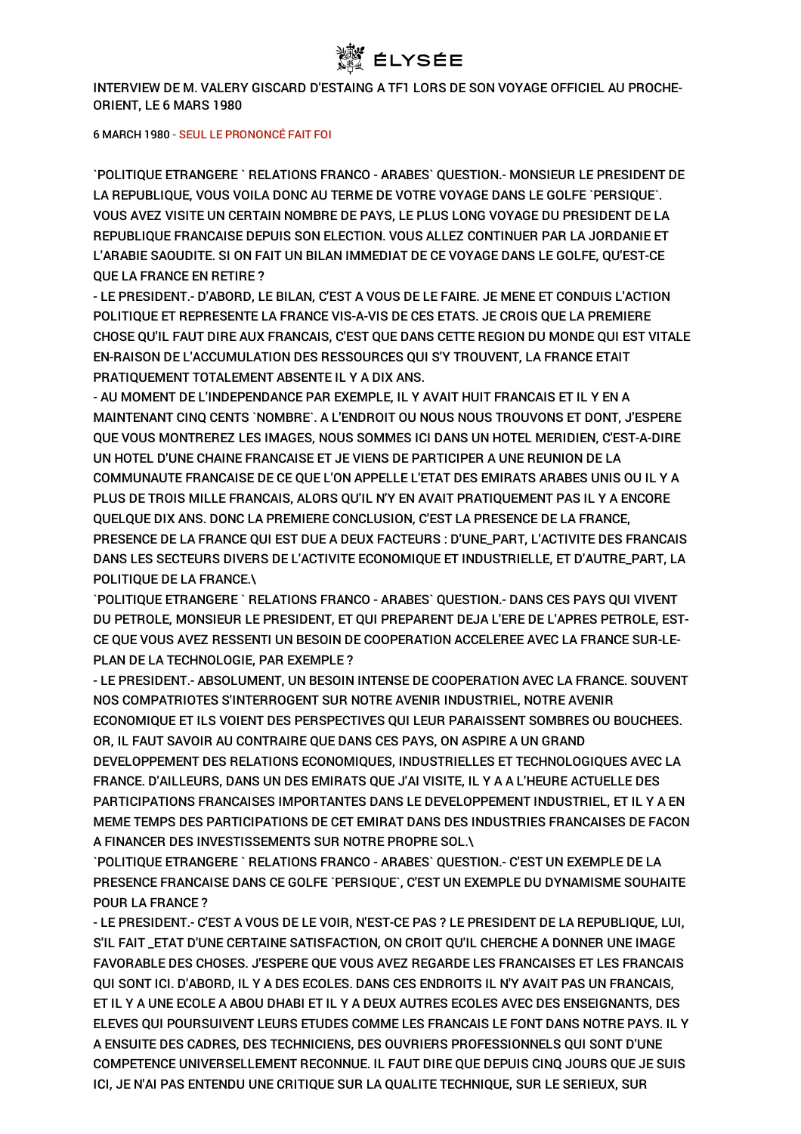

INTERVIEW DE M. VALERY GISCARD D'ESTAING A TF1 LORS DE SON VOYAGE OFFICIEL AU PROCHE-ORIENT, LE 6 MARS 1980

6 MARCH 1980 - SEUL LE PRONONCÉ FAIT FOI

`POLITIQUE ETRANGERE ` RELATIONS FRANCO - ARABES` QUESTION.- MONSIEUR LE PRESIDENT DE LA REPUBLIQUE, VOUS VOILA DONC AU TERME DE VOTRE VOYAGE DANS LE GOLFE `PERSIQUE`. VOUS AVEZ VISITE UN CERTAIN NOMBRE DE PAYS, LE PLUS LONG VOYAGE DU PRESIDENT DE LA REPUBLIQUE FRANCAISE DEPUIS SON ELECTION. VOUS ALLEZ CONTINUER PAR LA JORDANIE ET L'ARABIE SAOUDITE. SI ON FAIT UN BILAN IMMEDIAT DE CE VOYAGE DANS LE GOLFE, QU'EST-CE QUE LA FRANCE EN RETIRE ?

- LE PRESIDENT.- D'ABORD, LE BILAN, C'EST A VOUS DE LE FAIRE. JE MENE ET CONDUIS L'ACTION POLITIQUE ET REPRESENTE LA FRANCE VIS-A-VIS DE CES ETATS. JE CROIS QUE LA PREMIERE CHOSE QU'IL FAUT DIRE AUX FRANCAIS, C'EST QUE DANS CETTE REGION DU MONDE QUI EST VITALE EN-RAISON DE L'ACCUMULATION DES RESSOURCES QUI S'Y TROUVENT, LA FRANCE ETAIT PRATIQUEMENT TOTALEMENT ABSENTE IL Y A DIX ANS.

- AU MOMENT DE L'INDEPENDANCE PAR EXEMPLE, IL Y AVAIT HUIT FRANCAIS ET IL Y EN A MAINTENANT CINQ CENTS `NOMBRE`. A L'ENDROIT OU NOUS NOUS TROUVONS ET DONT, J'ESPERE QUE VOUS MONTREREZ LES IMAGES, NOUS SOMMES ICI DANS UN HOTEL MERIDIEN, C'EST-A-DIRE UN HOTEL D'UNE CHAINE FRANCAISE ET JE VIENS DE PARTICIPER A UNE REUNION DE LA COMMUNAUTE FRANCAISE DE CE QUE L'ON APPELLE L'ETAT DES EMIRATS ARABES UNIS OU IL Y A PLUS DE TROIS MILLE FRANCAIS, ALORS QU'IL N'Y EN AVAIT PRATIQUEMENT PAS IL Y A ENCORE QUELQUE DIX ANS. DONC LA PREMIERE CONCLUSION, C'EST LA PRESENCE DE LA FRANCE, PRESENCE DE LA FRANCE QUI EST DUE A DEUX FACTEURS : D'UNE\_PART, L'ACTIVITE DES FRANCAIS DANS LES SECTEURS DIVERS DE L'ACTIVITE ECONOMIQUE ET INDUSTRIELLE, ET D'AUTRE\_PART, LA POLITIQUE DE LA FRANCE.\

`POLITIQUE ETRANGERE ` RELATIONS FRANCO - ARABES` QUESTION.- DANS CES PAYS QUI VIVENT DU PETROLE, MONSIEUR LE PRESIDENT, ET QUI PREPARENT DEJA L'ERE DE L'APRES PETROLE, EST-CE QUE VOUS AVEZ RESSENTI UN BESOIN DE COOPERATION ACCELEREE AVEC LA FRANCE SUR-LE-PLAN DE LA TECHNOLOGIE, PAR EXEMPLE ?

- LE PRESIDENT.- ABSOLUMENT, UN BESOIN INTENSE DE COOPERATION AVEC LA FRANCE. SOUVENT NOS COMPATRIOTES S'INTERROGENT SUR NOTRE AVENIR INDUSTRIEL, NOTRE AVENIR ECONOMIQUE ET ILS VOIENT DES PERSPECTIVES QUI LEUR PARAISSENT SOMBRES OU BOUCHEES. OR, IL FAUT SAVOIR AU CONTRAIRE QUE DANS CES PAYS, ON ASPIRE A UN GRAND DEVELOPPEMENT DES RELATIONS ECONOMIQUES, INDUSTRIELLES ET TECHNOLOGIQUES AVEC LA FRANCE. D'AILLEURS, DANS UN DES EMIRATS QUE J'AI VISITE, IL Y A A L'HEURE ACTUELLE DES PARTICIPATIONS FRANCAISES IMPORTANTES DANS LE DEVELOPPEMENT INDUSTRIEL, ET IL Y A EN MEME TEMPS DES PARTICIPATIONS DE CET EMIRAT DANS DES INDUSTRIES FRANCAISES DE FACON A FINANCER DES INVESTISSEMENTS SUR NOTRE PROPRE SOL.\

`POLITIQUE ETRANGERE ` RELATIONS FRANCO - ARABES` QUESTION.- C'EST UN EXEMPLE DE LA PRESENCE FRANCAISE DANS CE GOLFE `PERSIQUE`, C'EST UN EXEMPLE DU DYNAMISME SOUHAITE POUR LA FRANCE ?

- LE PRESIDENT.- C'EST A VOUS DE LE VOIR, N'EST-CE PAS ? LE PRESIDENT DE LA REPUBLIQUE, LUI, S'IL FAIT \_ETAT D'UNE CERTAINE SATISFACTION, ON CROIT QU'IL CHERCHE A DONNER UNE IMAGE FAVORABLE DES CHOSES. J'ESPERE QUE VOUS AVEZ REGARDE LES FRANCAISES ET LES FRANCAIS QUI SONT ICI. D'ABORD, IL Y A DES ECOLES. DANS CES ENDROITS IL N'Y AVAIT PAS UN FRANCAIS, ET IL Y A UNE ECOLE A ABOU DHABI ET IL Y A DEUX AUTRES ECOLES AVEC DES ENSEIGNANTS, DES ELEVES QUI POURSUIVENT LEURS ETUDES COMME LES FRANCAIS LE FONT DANS NOTRE PAYS. IL Y A ENSUITE DES CADRES, DES TECHNICIENS, DES OUVRIERS PROFESSIONNELS QUI SONT D'UNE COMPETENCE UNIVERSELLEMENT RECONNUE. IL FAUT DIRE QUE DEPUIS CINQ JOURS QUE JE SUIS ICI, JE N'AI PAS ENTENDU UNE CRITIQUE SUR LA QUALITE TECHNIQUE, SUR LE SERIEUX, SUR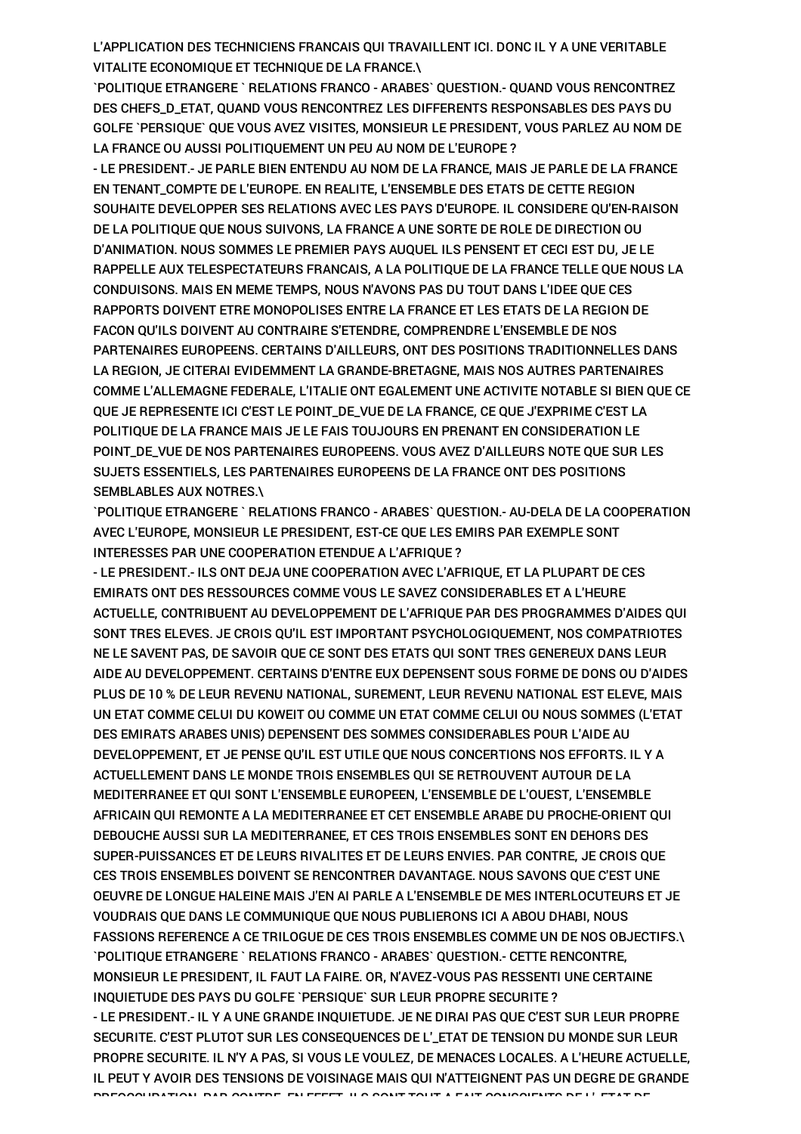L'APPLICATION DES TECHNICIENS FRANCAIS QUI TRAVAILLENT ICI. DONC IL Y A UNE VERITABLE VITALITE ECONOMIQUE ET TECHNIQUE DE LA FRANCE.\

`POLITIQUE ETRANGERE ` RELATIONS FRANCO - ARABES` QUESTION.- QUAND VOUS RENCONTREZ DES CHEFS\_D\_ETAT, QUAND VOUS RENCONTREZ LES DIFFERENTS RESPONSABLES DES PAYS DU GOLFE `PERSIQUE` QUE VOUS AVEZ VISITES, MONSIEUR LE PRESIDENT, VOUS PARLEZ AU NOM DE LA FRANCE OU AUSSI POLITIQUEMENT UN PEU AU NOM DE L'EUROPE ?

- LE PRESIDENT.- JE PARLE BIEN ENTENDU AU NOM DE LA FRANCE, MAIS JE PARLE DE LA FRANCE EN TENANT\_COMPTE DE L'EUROPE. EN REALITE, L'ENSEMBLE DES ETATS DE CETTE REGION SOUHAITE DEVELOPPER SES RELATIONS AVEC LES PAYS D'EUROPE. IL CONSIDERE QU'EN-RAISON DE LA POLITIQUE QUE NOUS SUIVONS, LA FRANCE A UNE SORTE DE ROLE DE DIRECTION OU D'ANIMATION. NOUS SOMMES LE PREMIER PAYS AUQUEL ILS PENSENT ET CECI EST DU, JE LE RAPPELLE AUX TELESPECTATEURS FRANCAIS, A LA POLITIQUE DE LA FRANCE TELLE QUE NOUS LA CONDUISONS. MAIS EN MEME TEMPS, NOUS N'AVONS PAS DU TOUT DANS L'IDEE QUE CES RAPPORTS DOIVENT ETRE MONOPOLISES ENTRE LA FRANCE ET LES ETATS DE LA REGION DE FACON QU'ILS DOIVENT AU CONTRAIRE S'ETENDRE, COMPRENDRE L'ENSEMBLE DE NOS PARTENAIRES EUROPEENS. CERTAINS D'AILLEURS, ONT DES POSITIONS TRADITIONNELLES DANS LA REGION, JE CITERAI EVIDEMMENT LA GRANDE-BRETAGNE, MAIS NOS AUTRES PARTENAIRES COMME L'ALLEMAGNE FEDERALE, L'ITALIE ONT EGALEMENT UNE ACTIVITE NOTABLE SI BIEN QUE CE QUE JE REPRESENTE ICI C'EST LE POINT\_DE\_VUE DE LA FRANCE, CE QUE J'EXPRIME C'EST LA POLITIQUE DE LA FRANCE MAIS JE LE FAIS TOUJOURS EN PRENANT EN CONSIDERATION LE POINT\_DE\_VUE DE NOS PARTENAIRES EUROPEENS. VOUS AVEZ D'AILLEURS NOTE QUE SUR LES SUJETS ESSENTIELS, LES PARTENAIRES EUROPEENS DE LA FRANCE ONT DES POSITIONS SEMBLABLES AUX NOTRES.\

`POLITIQUE ETRANGERE ` RELATIONS FRANCO - ARABES` QUESTION.- AU-DELA DE LA COOPERATION AVEC L'EUROPE, MONSIEUR LE PRESIDENT, EST-CE QUE LES EMIRS PAR EXEMPLE SONT INTERESSES PAR UNE COOPERATION ETENDUE A L'AFRIQUE ?

- LE PRESIDENT.- ILS ONT DEJA UNE COOPERATION AVEC L'AFRIQUE, ET LA PLUPART DE CES EMIRATS ONT DES RESSOURCES COMME VOUS LE SAVEZ CONSIDERABLES ET A L'HEURE ACTUELLE, CONTRIBUENT AU DEVELOPPEMENT DE L'AFRIQUE PAR DES PROGRAMMES D'AIDES QUI SONT TRES ELEVES. JE CROIS QU'IL EST IMPORTANT PSYCHOLOGIQUEMENT, NOS COMPATRIOTES NE LE SAVENT PAS, DE SAVOIR QUE CE SONT DES ETATS QUI SONT TRES GENEREUX DANS LEUR AIDE AU DEVELOPPEMENT. CERTAINS D'ENTRE EUX DEPENSENT SOUS FORME DE DONS OU D'AIDES PLUS DE 10 % DE LEUR REVENU NATIONAL, SUREMENT, LEUR REVENU NATIONAL EST ELEVE, MAIS UN ETAT COMME CELUI DU KOWEIT OU COMME UN ETAT COMME CELUI OU NOUS SOMMES (L'ETAT DES EMIRATS ARABES UNIS) DEPENSENT DES SOMMES CONSIDERABLES POUR L'AIDE AU DEVELOPPEMENT, ET JE PENSE QU'IL EST UTILE QUE NOUS CONCERTIONS NOS EFFORTS. IL Y A ACTUELLEMENT DANS LE MONDE TROIS ENSEMBLES QUI SE RETROUVENT AUTOUR DE LA MEDITERRANEE ET QUI SONT L'ENSEMBLE EUROPEEN, L'ENSEMBLE DE L'OUEST, L'ENSEMBLE AFRICAIN QUI REMONTE A LA MEDITERRANEE ET CET ENSEMBLE ARABE DU PROCHE-ORIENT QUI DEBOUCHE AUSSI SUR LA MEDITERRANEE, ET CES TROIS ENSEMBLES SONT EN DEHORS DES SUPER-PUISSANCES ET DE LEURS RIVALITES ET DE LEURS ENVIES. PAR CONTRE, JE CROIS QUE CES TROIS ENSEMBLES DOIVENT SE RENCONTRER DAVANTAGE. NOUS SAVONS QUE C'EST UNE OEUVRE DE LONGUE HALEINE MAIS J'EN AI PARLE A L'ENSEMBLE DE MES INTERLOCUTEURS ET JE VOUDRAIS QUE DANS LE COMMUNIQUE QUE NOUS PUBLIERONS ICI A ABOU DHABI, NOUS FASSIONS REFERENCE A CE TRILOGUE DE CES TROIS ENSEMBLES COMME UN DE NOS OBJECTIFS.\ `POLITIQUE ETRANGERE ` RELATIONS FRANCO - ARABES` QUESTION.- CETTE RENCONTRE, MONSIEUR LE PRESIDENT, IL FAUT LA FAIRE. OR, N'AVEZ-VOUS PAS RESSENTI UNE CERTAINE INQUIETUDE DES PAYS DU GOLFE `PERSIQUE` SUR LEUR PROPRE SECURITE ? - LE PRESIDENT.- IL Y A UNE GRANDE INQUIETUDE. JE NE DIRAI PAS QUE C'EST SUR LEUR PROPRE SECURITE. C'EST PLUTOT SUR LES CONSEQUENCES DE L'\_ETAT DE TENSION DU MONDE SUR LEUR PROPRE SECURITE. IL N'Y A PAS, SI VOUS LE VOULEZ, DE MENACES LOCALES. A L'HEURE ACTUELLE, IL PEUT Y AVOIR DES TENSIONS DE VOISINAGE MAIS QUI N'ATTEIGNENT PAS UN DEGRE DE GRANDE PREOCCUPATION. PAR CONTRE, EN EFFET, ILS SONT TOUT A FAIT CONSCIENTS DE L'\_ETAT DE